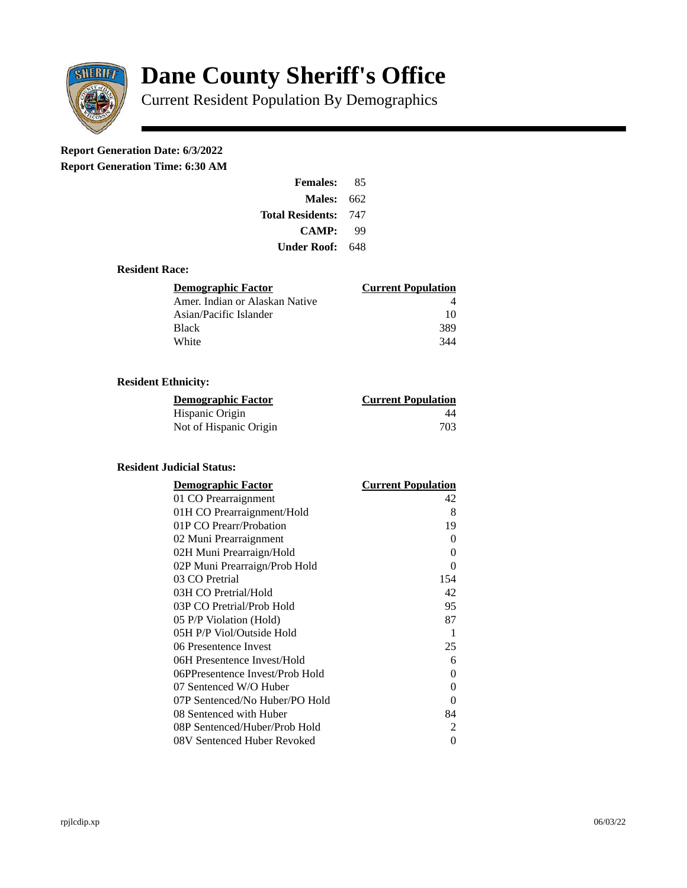

# **Dane County Sheriff's Office**

Current Resident Population By Demographics

## **Report Generation Date: 6/3/2022**

**Report Generation Time: 6:30 AM** 

| <b>Females:</b>         | 85  |
|-------------------------|-----|
| Males:                  | 662 |
| <b>Total Residents:</b> | 747 |
| <b>CAMP:</b>            | qq  |
| Under Roof: \           | 648 |

#### **Resident Race:**

| Demographic Factor             | <b>Current Population</b> |
|--------------------------------|---------------------------|
| Amer. Indian or Alaskan Native |                           |
| Asian/Pacific Islander         | 10                        |
| Black                          | 389                       |
| White                          | 344                       |

### **Resident Ethnicity:**

| <u>Demographic Factor</u> | <u>Current Population</u> |
|---------------------------|---------------------------|
| Hispanic Origin           | 44                        |
| Not of Hispanic Origin    | 703                       |

#### **Resident Judicial Status:**

| <b>Demographic Factor</b>       | <b>Current Population</b> |
|---------------------------------|---------------------------|
| 01 CO Prearraignment            | 42                        |
| 01H CO Prearraignment/Hold      | 8                         |
| 01P CO Prearr/Probation         | 19                        |
| 02 Muni Prearraignment          | 0                         |
| 02H Muni Prearraign/Hold        | 0                         |
| 02P Muni Prearraign/Prob Hold   | 0                         |
| 03 CO Pretrial                  | 154                       |
| 03H CO Pretrial/Hold            | 42                        |
| 03P CO Pretrial/Prob Hold       | 95                        |
| 05 P/P Violation (Hold)         | 87                        |
| 05H P/P Viol/Outside Hold       | $\mathbf{1}$              |
| 06 Presentence Invest           | 25                        |
| 06H Presentence Invest/Hold     | 6                         |
| 06PPresentence Invest/Prob Hold | 0                         |
| 07 Sentenced W/O Huber          | 0                         |
| 07P Sentenced/No Huber/PO Hold  | 0                         |
| 08 Sentenced with Huber         | 84                        |
| 08P Sentenced/Huber/Prob Hold   | 2                         |
| 08V Sentenced Huber Revoked     | 0                         |